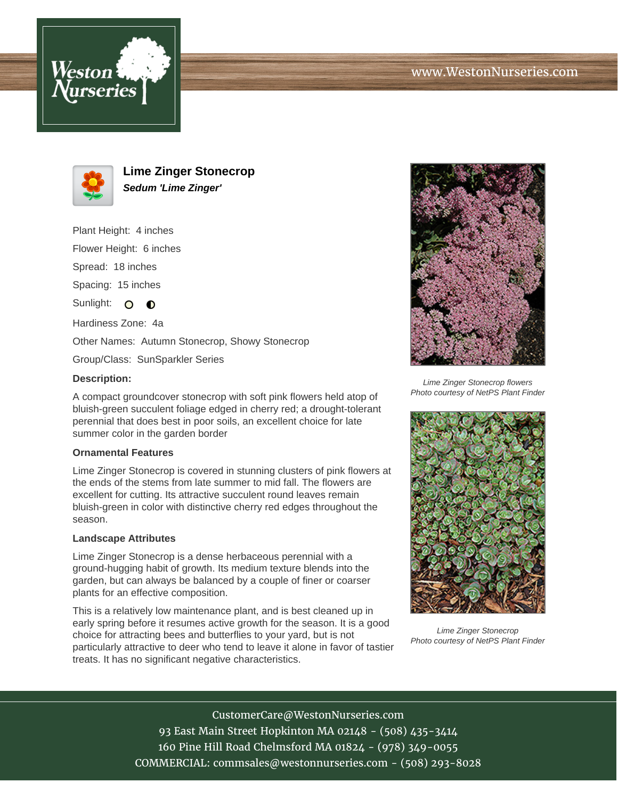



**Lime Zinger Stonecrop Sedum 'Lime Zinger'**

Plant Height: 4 inches Flower Height: 6 inches Spread: 18 inches Spacing: 15 inches Sunlight: O O Hardiness Zone: 4a Other Names: Autumn Stonecrop, Showy Stonecrop Group/Class: SunSparkler Series

## **Description:**

A compact groundcover stonecrop with soft pink flowers held atop of bluish-green succulent foliage edged in cherry red; a drought-tolerant perennial that does best in poor soils, an excellent choice for late summer color in the garden border

## **Ornamental Features**

Lime Zinger Stonecrop is covered in stunning clusters of pink flowers at the ends of the stems from late summer to mid fall. The flowers are excellent for cutting. Its attractive succulent round leaves remain bluish-green in color with distinctive cherry red edges throughout the season.

## **Landscape Attributes**

Lime Zinger Stonecrop is a dense herbaceous perennial with a ground-hugging habit of growth. Its medium texture blends into the garden, but can always be balanced by a couple of finer or coarser plants for an effective composition.

This is a relatively low maintenance plant, and is best cleaned up in early spring before it resumes active growth for the season. It is a good choice for attracting bees and butterflies to your yard, but is not particularly attractive to deer who tend to leave it alone in favor of tastier treats. It has no significant negative characteristics.



Lime Zinger Stonecrop flowers Photo courtesy of NetPS Plant Finder



Lime Zinger Stonecrop Photo courtesy of NetPS Plant Finder

CustomerCare@WestonNurseries.com 93 East Main Street Hopkinton MA 02148 - (508) 435-3414 160 Pine Hill Road Chelmsford MA 01824 - (978) 349-0055 COMMERCIAL: commsales@westonnurseries.com - (508) 293-8028